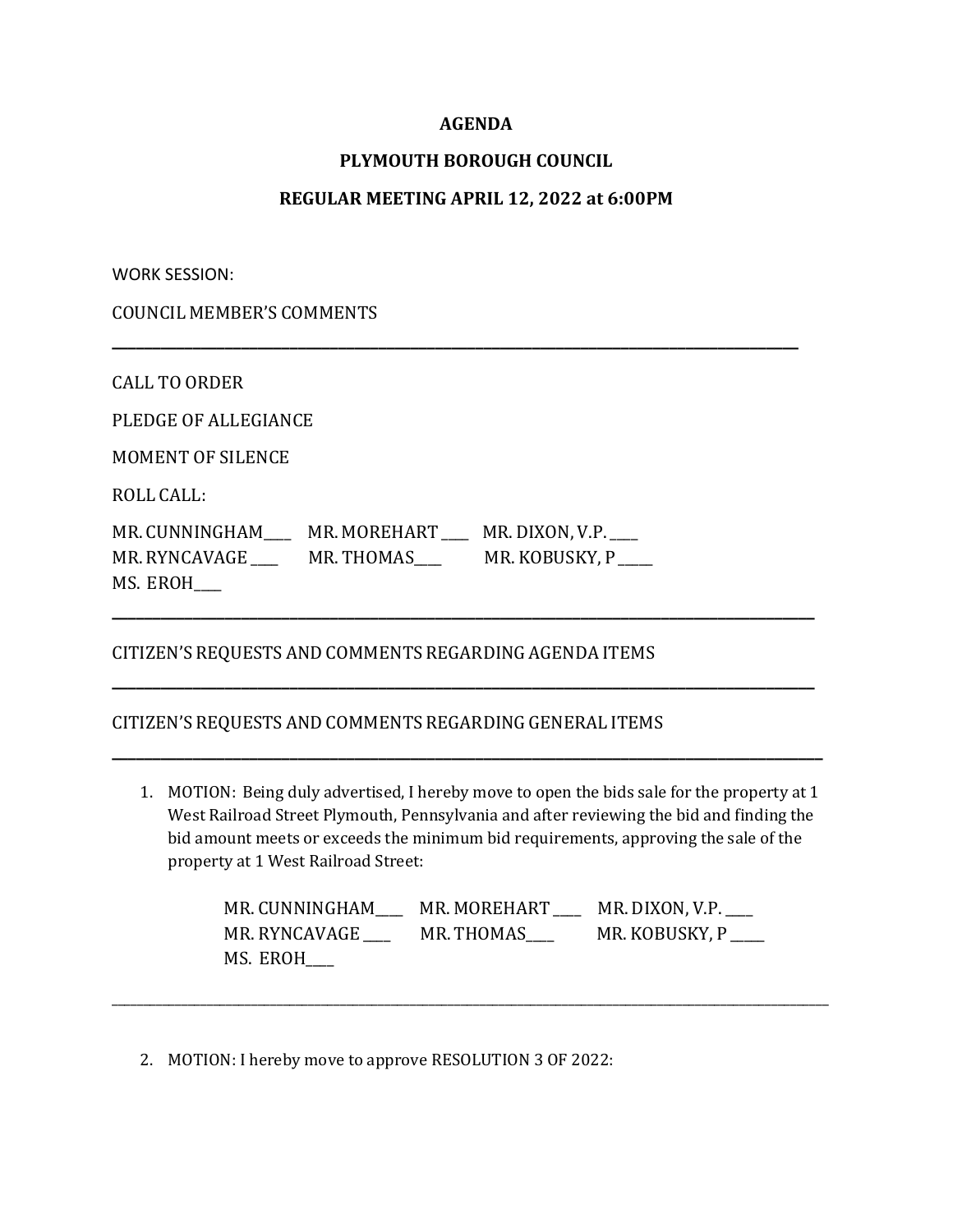## **AGENDA**

# **PLYMOUTH BOROUGH COUNCIL**

## **REGULAR MEETING APRIL 12, 2022 at 6:00PM**

**\_\_\_\_\_\_\_\_\_\_\_\_\_\_\_\_\_\_\_\_\_\_\_\_\_\_\_\_\_\_\_\_\_\_\_\_\_\_\_\_\_\_\_\_\_\_\_\_\_\_\_\_\_\_\_\_\_\_\_\_\_\_\_\_\_\_\_\_\_\_\_\_\_\_\_\_\_\_\_\_\_\_\_\_\_**

WORK SESSION:

COUNCIL MEMBER'S COMMENTS

CALL TO ORDER

PLEDGE OF ALLEGIANCE

MOMENT OF SILENCE

ROLL CALL:

MR. CUNNINGHAM\_\_\_\_\_ MR. MOREHART \_\_\_ MR. DIXON, V.P. \_\_\_ MR. RYNCAVAGE \_\_\_\_\_ MR. THOMAS \_\_\_\_\_ MR. KOBUSKY, P MS. EROH\_\_\_\_

### CITIZEN'S REQUESTS AND COMMENTS REGARDING AGENDA ITEMS

#### CITIZEN'S REQUESTS AND COMMENTS REGARDING GENERAL ITEMS

1. MOTION: Being duly advertised, I hereby move to open the bids sale for the property at 1 West Railroad Street Plymouth, Pennsylvania and after reviewing the bid and finding the bid amount meets or exceeds the minimum bid requirements, approving the sale of the property at 1 West Railroad Street:

**\_\_\_\_\_\_\_\_\_\_\_\_\_\_\_\_\_\_\_\_\_\_\_\_\_\_\_\_\_\_\_\_\_\_\_\_\_\_\_\_\_\_\_\_\_\_\_\_\_\_\_\_\_\_\_\_\_\_\_\_\_\_\_\_\_\_\_\_\_\_\_\_\_\_\_\_\_\_\_\_\_\_\_\_\_\_\_**

**\_\_\_\_\_\_\_\_\_\_\_\_\_\_\_\_\_\_\_\_\_\_\_\_\_\_\_\_\_\_\_\_\_\_\_\_\_\_\_\_\_\_\_\_\_\_\_\_\_\_\_\_\_\_\_\_\_\_\_\_\_\_\_\_\_\_\_\_\_\_\_\_\_\_\_\_\_\_\_\_\_\_\_\_\_\_\_**

**\_\_\_\_\_\_\_\_\_\_\_\_\_\_\_\_\_\_\_\_\_\_\_\_\_\_\_\_\_\_\_\_\_\_\_\_\_\_\_\_\_\_\_\_\_\_\_\_\_\_\_\_\_\_\_\_\_\_\_\_\_\_\_\_\_\_\_\_\_\_\_\_\_\_\_\_\_\_\_\_\_\_\_\_\_\_\_\_**

| MR. CUNNINGHAM | MR. MOREHART | MR. DIXON, V.P. |
|----------------|--------------|-----------------|
| MR. RYNCAVAGE  | MR. THOMAS   | MR. KOBUSKY, P  |
| MS. EROH       |              |                 |

\_\_\_\_\_\_\_\_\_\_\_\_\_\_\_\_\_\_\_\_\_\_\_\_\_\_\_\_\_\_\_\_\_\_\_\_\_\_\_\_\_\_\_\_\_\_\_\_\_\_\_\_\_\_\_\_\_\_\_\_\_\_\_\_\_\_\_\_\_\_\_\_\_\_\_\_\_\_\_\_\_\_\_\_\_\_\_\_\_\_\_\_\_\_\_\_\_\_\_\_\_\_\_\_\_\_\_\_\_\_\_\_\_

2. MOTION: I hereby move to approve RESOLUTION 3 OF 2022: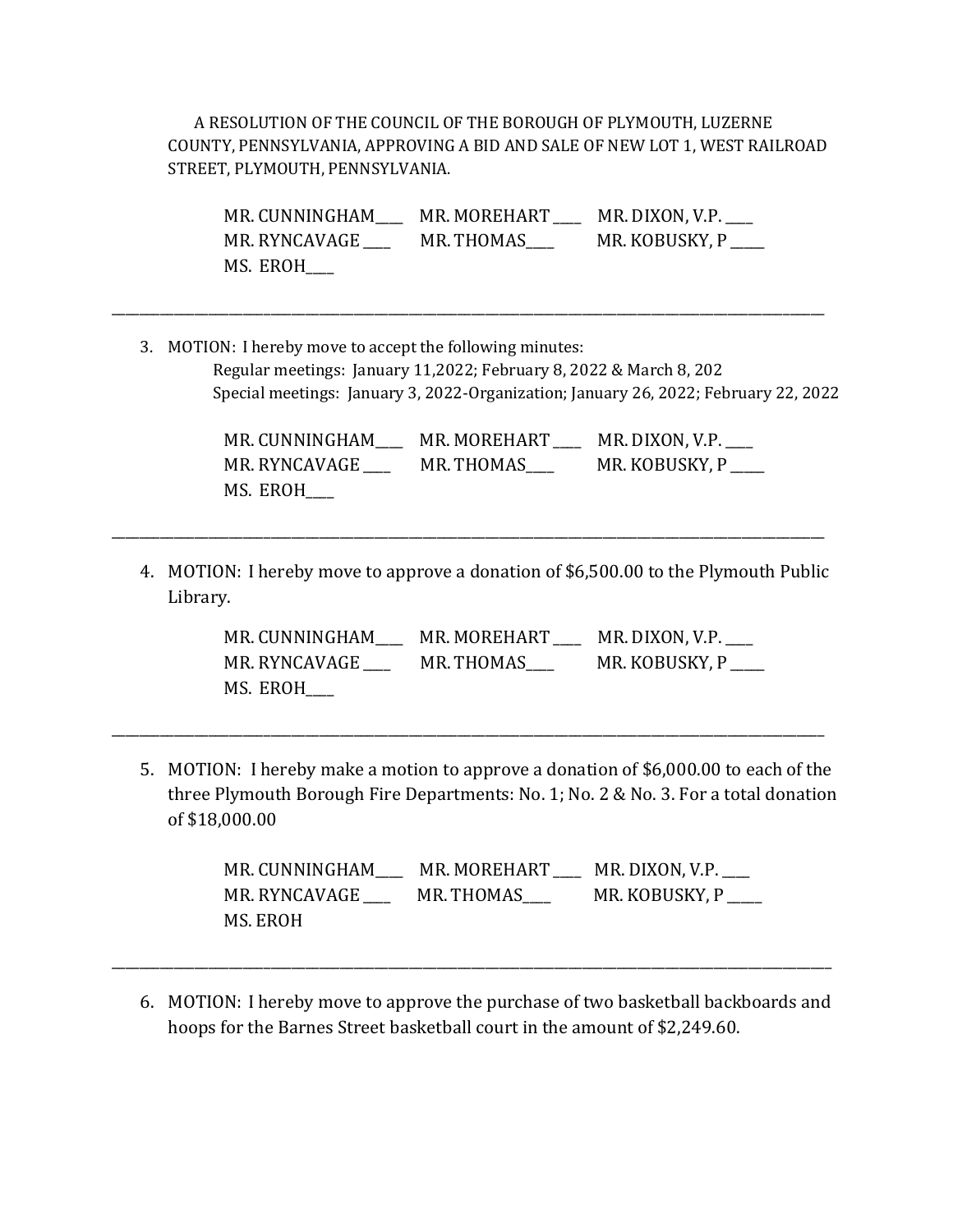A RESOLUTION OF THE COUNCIL OF THE BOROUGH OF PLYMOUTH, LUZERNE COUNTY, PENNSYLVANIA, APPROVING A BID AND SALE OF NEW LOT 1, WEST RAILROAD STREET, PLYMOUTH, PENNSYLVANIA.

MR. CUNNINGHAM\_\_\_\_ MR. MOREHART \_\_\_\_ MR. DIXON, V.P. MR. RYNCAVAGE \_\_\_\_\_ MR. THOMAS \_\_\_\_\_ MR. KOBUSKY, P MS. EROH\_\_\_\_

3. MOTION: I hereby move to accept the following minutes: Regular meetings: January 11,2022; February 8, 2022 & March 8, 202 Special meetings: January 3, 2022-Organization; January 26, 2022; February 22, 2022

\_\_\_\_\_\_\_\_\_\_\_\_\_\_\_\_\_\_\_\_\_\_\_\_\_\_\_\_\_\_\_\_\_\_\_\_\_\_\_\_\_\_\_\_\_\_\_\_\_\_\_\_\_\_\_\_\_\_\_\_\_\_\_\_\_\_\_\_\_\_\_\_\_\_\_\_\_\_\_\_\_\_\_\_\_\_\_\_\_\_\_\_\_\_\_\_\_\_\_\_\_\_\_

MR. CUNNINGHAM\_\_\_\_\_ MR. MOREHART \_\_\_\_ MR. DIXON, V.P. \_\_\_ MR. RYNCAVAGE \_\_\_\_ MR. THOMAS\_\_\_\_ MR. KOBUSKY, P \_\_\_\_\_ MS. EROH\_\_\_\_

4. MOTION: I hereby move to approve a donation of \$6,500.00 to the Plymouth Public Library.

\_\_\_\_\_\_\_\_\_\_\_\_\_\_\_\_\_\_\_\_\_\_\_\_\_\_\_\_\_\_\_\_\_\_\_\_\_\_\_\_\_\_\_\_\_\_\_\_\_\_\_\_\_\_\_\_\_\_\_\_\_\_\_\_\_\_\_\_\_\_\_\_\_\_\_\_\_\_\_\_\_\_\_\_\_\_\_\_\_\_\_\_\_\_\_\_\_\_\_\_\_\_\_

MR. CUNNINGHAM\_\_\_\_ MR. MOREHART \_\_\_\_ MR. DIXON, V.P.\_\_\_\_ MR. RYNCAVAGE \_\_\_\_\_\_ MR. THOMAS\_\_\_\_ MR. KOBUSKY, P \_\_\_\_ MS. EROH\_\_\_\_

5. MOTION: I hereby make a motion to approve a donation of \$6,000.00 to each of the three Plymouth Borough Fire Departments: No. 1; No. 2 & No. 3. For a total donation of \$18,000.00

\_\_\_\_\_\_\_\_\_\_\_\_\_\_\_\_\_\_\_\_\_\_\_\_\_\_\_\_\_\_\_\_\_\_\_\_\_\_\_\_\_\_\_\_\_\_\_\_\_\_\_\_\_\_\_\_\_\_\_\_\_\_\_\_\_\_\_\_\_\_\_\_\_\_\_\_\_\_\_\_\_\_\_\_\_\_\_\_\_\_\_\_\_\_\_\_\_\_\_\_\_\_\_

MR. CUNNINGHAM\_\_\_\_ MR. MOREHART \_\_\_\_ MR. DIXON, V.P.\_\_\_\_ MR. RYNCAVAGE \_\_\_\_ MR. THOMAS\_\_\_ MR. KOBUSKY, P \_\_\_\_ MS. EROH

6. MOTION: I hereby move to approve the purchase of two basketball backboards and hoops for the Barnes Street basketball court in the amount of \$2,249.60.

\_\_\_\_\_\_\_\_\_\_\_\_\_\_\_\_\_\_\_\_\_\_\_\_\_\_\_\_\_\_\_\_\_\_\_\_\_\_\_\_\_\_\_\_\_\_\_\_\_\_\_\_\_\_\_\_\_\_\_\_\_\_\_\_\_\_\_\_\_\_\_\_\_\_\_\_\_\_\_\_\_\_\_\_\_\_\_\_\_\_\_\_\_\_\_\_\_\_\_\_\_\_\_\_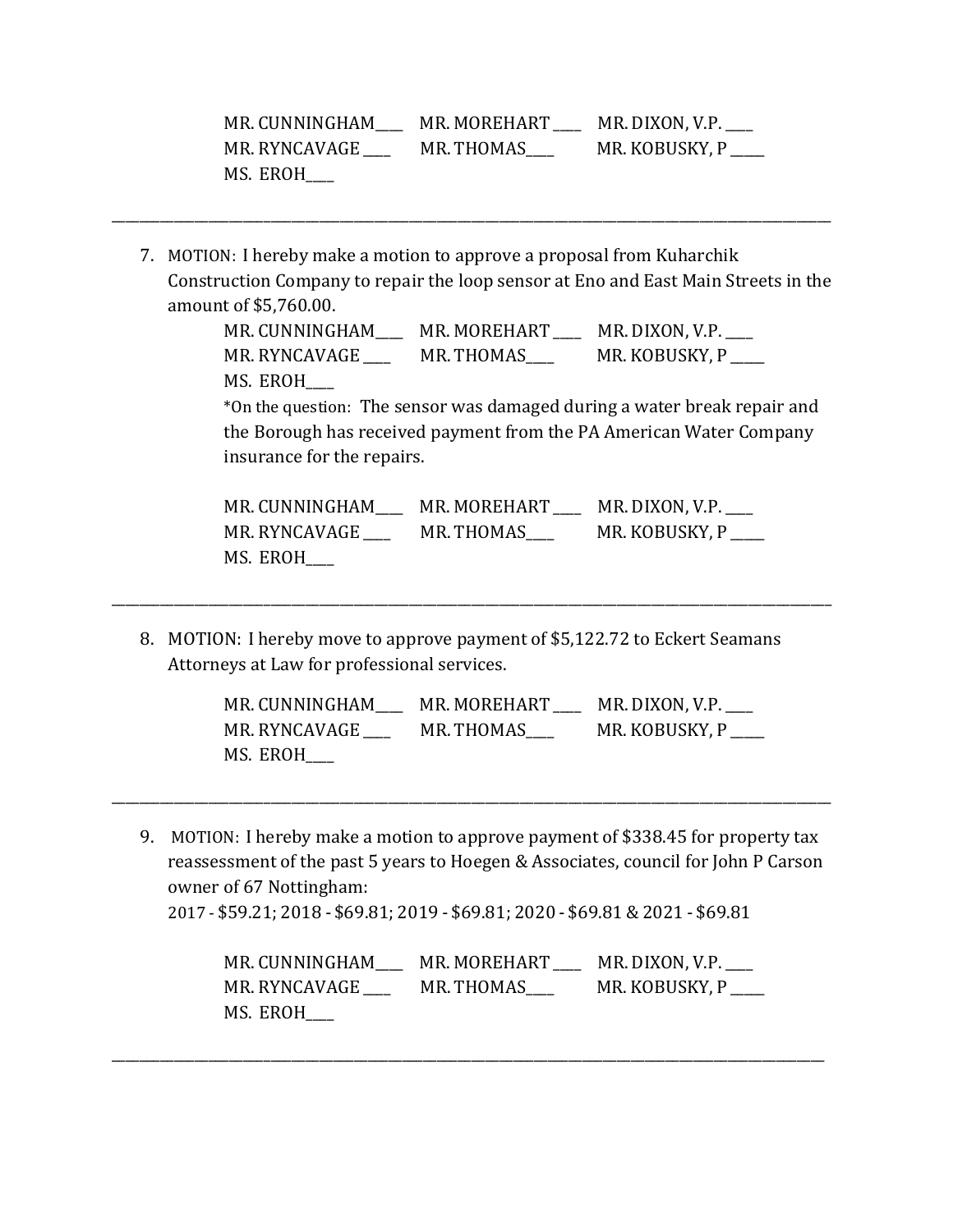| MR. CUNNINGHAM | MR. MOREHART | MR. DIXON, V.P. |
|----------------|--------------|-----------------|
| MR. RYNCAVAGE  | MR. THOMAS   | MR. KOBUSKY, P  |
| MS. EROH       |              |                 |

7. MOTION: I hereby make a motion to approve a proposal from Kuharchik Construction Company to repair the loop sensor at Eno and East Main Streets in the amount of \$5,760.00.

\_\_\_\_\_\_\_\_\_\_\_\_\_\_\_\_\_\_\_\_\_\_\_\_\_\_\_\_\_\_\_\_\_\_\_\_\_\_\_\_\_\_\_\_\_\_\_\_\_\_\_\_\_\_\_\_\_\_\_\_\_\_\_\_\_\_\_\_\_\_\_\_\_\_\_\_\_\_\_\_\_\_\_\_\_\_\_\_\_\_\_\_\_\_\_\_\_\_\_\_\_\_\_\_

MR. CUNNINGHAM\_\_\_\_ MR. MOREHART \_\_\_\_ MR. DIXON, V.P.\_\_\_\_ MR. RYNCAVAGE \_\_\_\_\_\_ MR. THOMAS\_\_\_\_ MR. KOBUSKY, P \_\_\_\_ MS. EROH\_\_\_\_

\*On the question: The sensor was damaged during a water break repair and the Borough has received payment from the PA American Water Company insurance for the repairs.

| MR. CUNNINGHAM | MR. MOREHART | MR. DIXON, V.P. |
|----------------|--------------|-----------------|
| MR. RYNCAVAGE  | MR. THOMAS   | MR. KOBUSKY, P  |
| MS. EROH       |              |                 |

8. MOTION: I hereby move to approve payment of \$5,122.72 to Eckert Seamans Attorneys at Law for professional services.

\_\_\_\_\_\_\_\_\_\_\_\_\_\_\_\_\_\_\_\_\_\_\_\_\_\_\_\_\_\_\_\_\_\_\_\_\_\_\_\_\_\_\_\_\_\_\_\_\_\_\_\_\_\_\_\_\_\_\_\_\_\_\_\_\_\_\_\_\_\_\_\_\_\_\_\_\_\_\_\_\_\_\_\_\_\_\_\_\_\_\_\_\_\_\_\_\_\_\_\_\_\_\_\_

| MR. CUNNINGHAM | MR. MOREHART | MR. DIXON, V.P. $\_\_$ |
|----------------|--------------|------------------------|
| MR. RYNCAVAGE  | MR. THOMAS   | MR. KOBUSKY, P         |
| MS. EROH       |              |                        |

9. MOTION: I hereby make a motion to approve payment of \$338.45 for property tax reassessment of the past 5 years to Hoegen & Associates, council for John P Carson owner of 67 Nottingham:

\_\_\_\_\_\_\_\_\_\_\_\_\_\_\_\_\_\_\_\_\_\_\_\_\_\_\_\_\_\_\_\_\_\_\_\_\_\_\_\_\_\_\_\_\_\_\_\_\_\_\_\_\_\_\_\_\_\_\_\_\_\_\_\_\_\_\_\_\_\_\_\_\_\_\_\_\_\_\_\_\_\_\_\_\_\_\_\_\_\_\_\_\_\_\_\_\_\_\_\_\_\_\_\_

2017 - \$59.21; 2018 - \$69.81; 2019 - \$69.81; 2020 - \$69.81& 2021 - \$69.81

\_\_\_\_\_\_\_\_\_\_\_\_\_\_\_\_\_\_\_\_\_\_\_\_\_\_\_\_\_\_\_\_\_\_\_\_\_\_\_\_\_\_\_\_\_\_\_\_\_\_\_\_\_\_\_\_\_\_\_\_\_\_\_\_\_\_\_\_\_\_\_\_\_\_\_\_\_\_\_\_\_\_\_\_\_\_\_\_\_\_\_\_\_\_\_\_\_\_\_\_\_\_\_

| MR. CUNNINGHAM | MR. MOREHART | MR. DIXON, V.P. |
|----------------|--------------|-----------------|
| MR. RYNCAVAGE  | MR. THOMAS   | MR. KOBUSKY, P  |
| MS. EROH       |              |                 |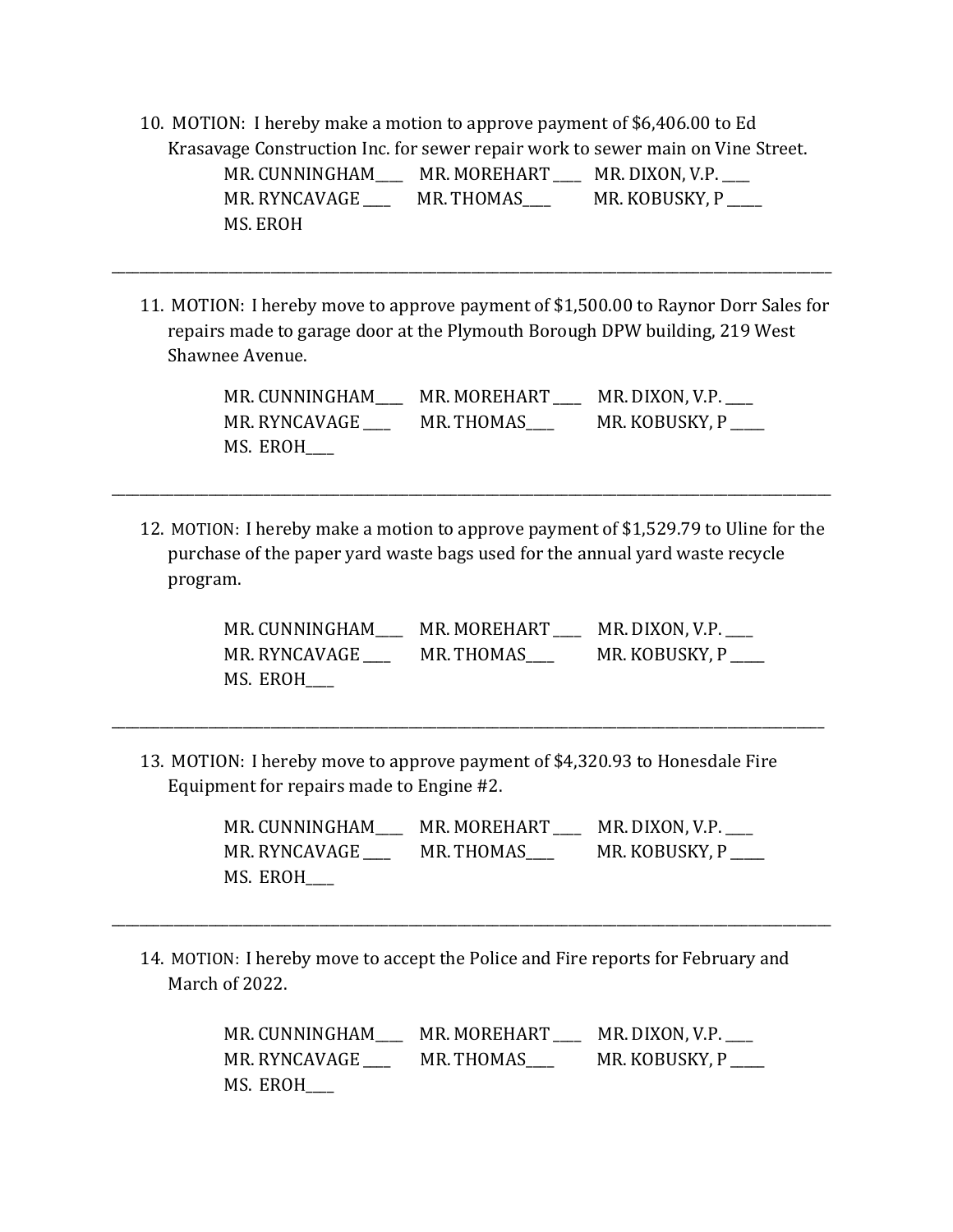10. MOTION: I hereby make a motion to approve payment of \$6,406.00 to Ed Krasavage Construction Inc. for sewer repair work to sewer main on Vine Street. MR. CUNNINGHAM\_\_\_\_\_ MR. MOREHART \_\_\_\_ MR. DIXON, V.P. \_\_\_

\_\_\_\_\_\_\_\_\_\_\_\_\_\_\_\_\_\_\_\_\_\_\_\_\_\_\_\_\_\_\_\_\_\_\_\_\_\_\_\_\_\_\_\_\_\_\_\_\_\_\_\_\_\_\_\_\_\_\_\_\_\_\_\_\_\_\_\_\_\_\_\_\_\_\_\_\_\_\_\_\_\_\_\_\_\_\_\_\_\_\_\_\_\_\_\_\_\_\_\_\_\_\_\_

MR. RYNCAVAGE \_\_\_\_\_ MR. THOMAS \_\_\_\_\_ MR. KOBUSKY, P MS. EROH

11. MOTION: I hereby move to approve payment of \$1,500.00 to Raynor Dorr Sales for repairs made to garage door at the Plymouth Borough DPW building, 219 West Shawnee Avenue.

| MR. CUNNINGHAM | MR. MOREHART | MR. DIXON, V.P. |
|----------------|--------------|-----------------|
| MR. RYNCAVAGE  | MR. THOMAS   | MR. KOBUSKY, P  |
| MS. EROH       |              |                 |

12. MOTION: I hereby make a motion to approve payment of \$1,529.79 to Uline for the purchase of the paper yard waste bags used for the annual yard waste recycle program.

\_\_\_\_\_\_\_\_\_\_\_\_\_\_\_\_\_\_\_\_\_\_\_\_\_\_\_\_\_\_\_\_\_\_\_\_\_\_\_\_\_\_\_\_\_\_\_\_\_\_\_\_\_\_\_\_\_\_\_\_\_\_\_\_\_\_\_\_\_\_\_\_\_\_\_\_\_\_\_\_\_\_\_\_\_\_\_\_\_\_\_\_\_\_\_\_\_\_\_\_\_\_\_\_

MR. CUNNINGHAM\_\_\_\_ MR. MOREHART \_\_\_\_ MR. DIXON, V.P.\_\_\_\_ MR. RYNCAVAGE \_\_\_\_\_ MR. THOMAS \_\_\_\_\_ MR. KOBUSKY, P MS. EROH\_\_\_\_

13. MOTION: I hereby move to approve payment of \$4,320.93 to Honesdale Fire Equipment for repairs made to Engine #2.

\_\_\_\_\_\_\_\_\_\_\_\_\_\_\_\_\_\_\_\_\_\_\_\_\_\_\_\_\_\_\_\_\_\_\_\_\_\_\_\_\_\_\_\_\_\_\_\_\_\_\_\_\_\_\_\_\_\_\_\_\_\_\_\_\_\_\_\_\_\_\_\_\_\_\_\_\_\_\_\_\_\_\_\_\_\_\_\_\_\_\_\_\_\_\_\_\_\_\_\_\_\_\_

MR. CUNNINGHAM\_\_\_\_ MR. MOREHART \_\_\_\_ MR. DIXON, V.P.\_\_\_\_ MR. RYNCAVAGE \_\_\_\_ MR. THOMAS\_\_\_\_ MR. KOBUSKY, P \_\_\_\_\_ MS. EROH\_\_\_\_

14. MOTION: I hereby move to accept the Police and Fire reports for February and March of 2022.

\_\_\_\_\_\_\_\_\_\_\_\_\_\_\_\_\_\_\_\_\_\_\_\_\_\_\_\_\_\_\_\_\_\_\_\_\_\_\_\_\_\_\_\_\_\_\_\_\_\_\_\_\_\_\_\_\_\_\_\_\_\_\_\_\_\_\_\_\_\_\_\_\_\_\_\_\_\_\_\_\_\_\_\_\_\_\_\_\_\_\_\_\_\_\_\_\_\_\_\_\_\_\_\_

MR. CUNNINGHAM\_\_\_\_ MR. MOREHART \_\_\_\_ MR. DIXON, V.P.\_\_\_\_ MR. RYNCAVAGE \_\_\_\_\_\_ MR. THOMAS\_\_\_\_ MR. KOBUSKY, P \_\_\_\_ MS. EROH\_\_\_\_